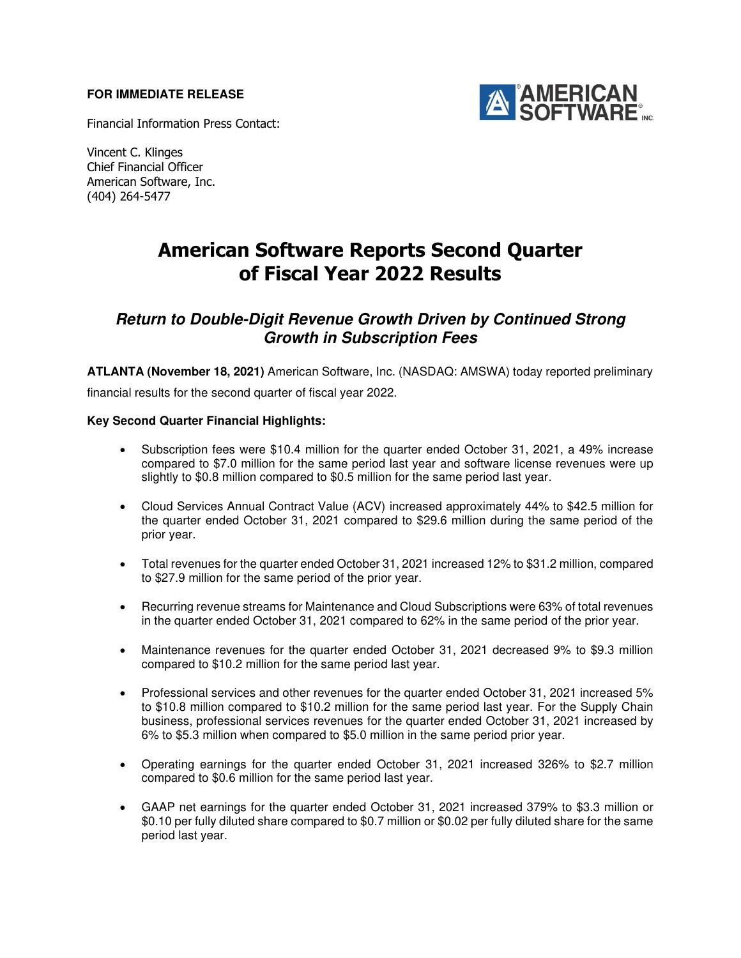# **FOR IMMEDIATE RELEASE**



Financial Information Press Contact:

Vincent C. Klinges Chief Financial Officer American Software, Inc. (404) 264-5477

# **American Software Reports Second Quarter of Fiscal Year 2022 Results**

# **Return to Double-Digit Revenue Growth Driven by Continued Strong Growth in Subscription Fees**

**ATLANTA (November 18, 2021)** American Software, Inc. (NASDAQ: AMSWA) today reported preliminary

financial results for the second quarter of fiscal year 2022.

## **Key Second Quarter Financial Highlights:**

- Subscription fees were \$10.4 million for the quarter ended October 31, 2021, a 49% increase compared to \$7.0 million for the same period last year and software license revenues were up slightly to \$0.8 million compared to \$0.5 million for the same period last year.
- Cloud Services Annual Contract Value (ACV) increased approximately 44% to \$42.5 million for the quarter ended October 31, 2021 compared to \$29.6 million during the same period of the prior year.
- Total revenues for the quarter ended October 31, 2021 increased 12% to \$31.2 million, compared to \$27.9 million for the same period of the prior year.
- Recurring revenue streams for Maintenance and Cloud Subscriptions were 63% of total revenues in the quarter ended October 31, 2021 compared to 62% in the same period of the prior year.
- Maintenance revenues for the quarter ended October 31, 2021 decreased 9% to \$9.3 million compared to \$10.2 million for the same period last year.
- Professional services and other revenues for the quarter ended October 31, 2021 increased 5% to \$10.8 million compared to \$10.2 million for the same period last year. For the Supply Chain business, professional services revenues for the quarter ended October 31, 2021 increased by 6% to \$5.3 million when compared to \$5.0 million in the same period prior year.
- Operating earnings for the quarter ended October 31, 2021 increased 326% to \$2.7 million compared to \$0.6 million for the same period last year.
- GAAP net earnings for the quarter ended October 31, 2021 increased 379% to \$3.3 million or \$0.10 per fully diluted share compared to \$0.7 million or \$0.02 per fully diluted share for the same period last year.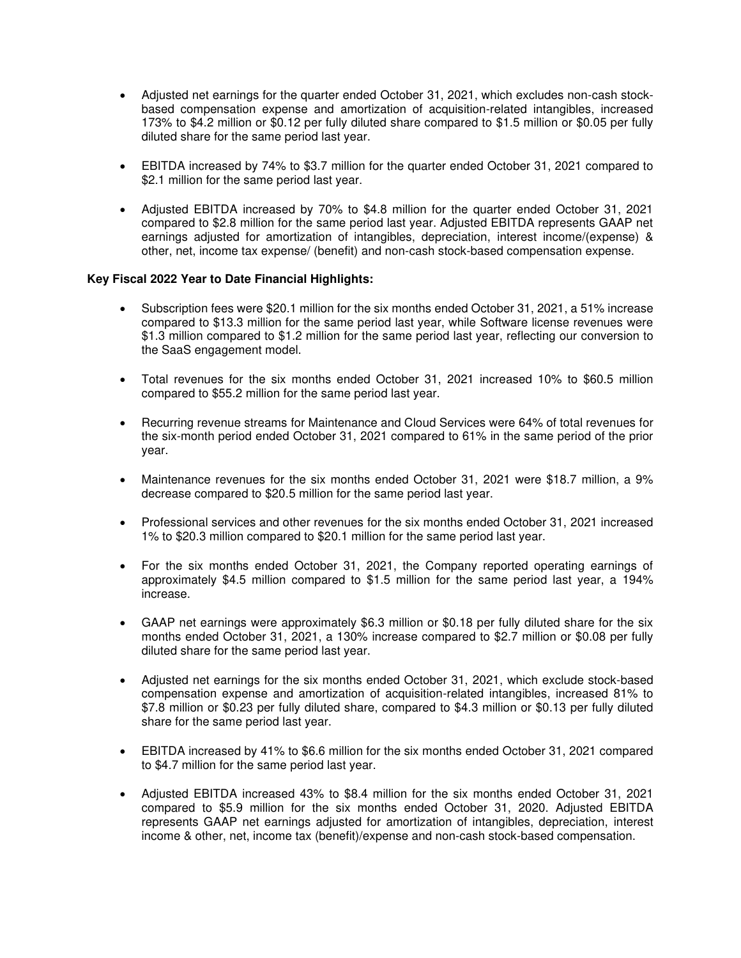- Adjusted net earnings for the quarter ended October 31, 2021, which excludes non-cash stockbased compensation expense and amortization of acquisition-related intangibles, increased 173% to \$4.2 million or \$0.12 per fully diluted share compared to \$1.5 million or \$0.05 per fully diluted share for the same period last year.
- EBITDA increased by 74% to \$3.7 million for the quarter ended October 31, 2021 compared to \$2.1 million for the same period last year.
- Adjusted EBITDA increased by 70% to \$4.8 million for the quarter ended October 31, 2021 compared to \$2.8 million for the same period last year. Adjusted EBITDA represents GAAP net earnings adjusted for amortization of intangibles, depreciation, interest income/(expense) & other, net, income tax expense/ (benefit) and non-cash stock-based compensation expense.

## **Key Fiscal 2022 Year to Date Financial Highlights:**

- Subscription fees were \$20.1 million for the six months ended October 31, 2021, a 51% increase compared to \$13.3 million for the same period last year, while Software license revenues were \$1.3 million compared to \$1.2 million for the same period last year, reflecting our conversion to the SaaS engagement model.
- Total revenues for the six months ended October 31, 2021 increased 10% to \$60.5 million compared to \$55.2 million for the same period last year.
- Recurring revenue streams for Maintenance and Cloud Services were 64% of total revenues for the six-month period ended October 31, 2021 compared to 61% in the same period of the prior year.
- Maintenance revenues for the six months ended October 31, 2021 were \$18.7 million, a 9% decrease compared to \$20.5 million for the same period last year.
- Professional services and other revenues for the six months ended October 31, 2021 increased 1% to \$20.3 million compared to \$20.1 million for the same period last year.
- For the six months ended October 31, 2021, the Company reported operating earnings of approximately \$4.5 million compared to \$1.5 million for the same period last year, a 194% increase.
- GAAP net earnings were approximately \$6.3 million or \$0.18 per fully diluted share for the six months ended October 31, 2021, a 130% increase compared to \$2.7 million or \$0.08 per fully diluted share for the same period last year.
- Adjusted net earnings for the six months ended October 31, 2021, which exclude stock-based compensation expense and amortization of acquisition-related intangibles, increased 81% to \$7.8 million or \$0.23 per fully diluted share, compared to \$4.3 million or \$0.13 per fully diluted share for the same period last year.
- EBITDA increased by 41% to \$6.6 million for the six months ended October 31, 2021 compared to \$4.7 million for the same period last year.
- Adjusted EBITDA increased 43% to \$8.4 million for the six months ended October 31, 2021 compared to \$5.9 million for the six months ended October 31, 2020. Adjusted EBITDA represents GAAP net earnings adjusted for amortization of intangibles, depreciation, interest income & other, net, income tax (benefit)/expense and non-cash stock-based compensation.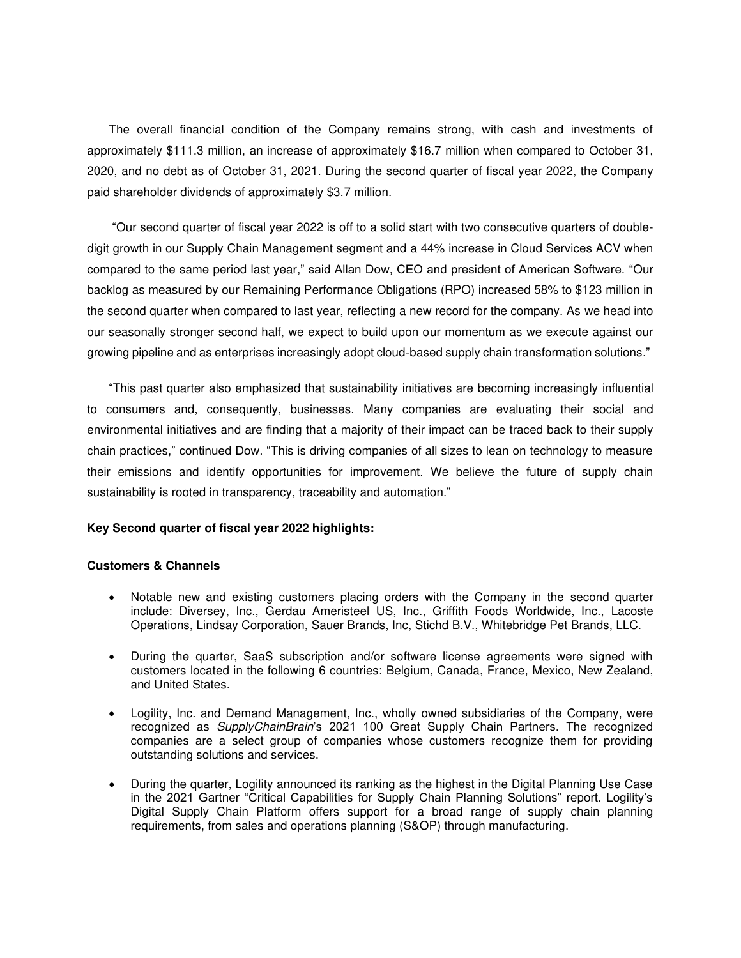The overall financial condition of the Company remains strong, with cash and investments of approximately \$111.3 million, an increase of approximately \$16.7 million when compared to October 31, 2020, and no debt as of October 31, 2021. During the second quarter of fiscal year 2022, the Company paid shareholder dividends of approximately \$3.7 million.

"Our second quarter of fiscal year 2022 is off to a solid start with two consecutive quarters of doubledigit growth in our Supply Chain Management segment and a 44% increase in Cloud Services ACV when compared to the same period last year," said Allan Dow, CEO and president of American Software. "Our backlog as measured by our Remaining Performance Obligations (RPO) increased 58% to \$123 million in the second quarter when compared to last year, reflecting a new record for the company. As we head into our seasonally stronger second half, we expect to build upon our momentum as we execute against our growing pipeline and as enterprises increasingly adopt cloud-based supply chain transformation solutions."

"This past quarter also emphasized that sustainability initiatives are becoming increasingly influential to consumers and, consequently, businesses. Many companies are evaluating their social and environmental initiatives and are finding that a majority of their impact can be traced back to their supply chain practices," continued Dow. "This is driving companies of all sizes to lean on technology to measure their emissions and identify opportunities for improvement. We believe the future of supply chain sustainability is rooted in transparency, traceability and automation."

#### **Key Second quarter of fiscal year 2022 highlights:**

#### **Customers & Channels**

- Notable new and existing customers placing orders with the Company in the second quarter include: Diversey, Inc., Gerdau Ameristeel US, Inc., Griffith Foods Worldwide, Inc., Lacoste Operations, Lindsay Corporation, Sauer Brands, Inc, Stichd B.V., Whitebridge Pet Brands, LLC.
- During the quarter, SaaS subscription and/or software license agreements were signed with customers located in the following 6 countries: Belgium, Canada, France, Mexico, New Zealand, and United States.
- Logility, Inc. and Demand Management, Inc., wholly owned subsidiaries of the Company, were recognized as SupplyChainBrain's 2021 100 Great Supply Chain Partners. The recognized companies are a select group of companies whose customers recognize them for providing outstanding solutions and services.
- During the quarter, Logility announced its ranking as the highest in the Digital Planning Use Case in the 2021 Gartner "Critical Capabilities for Supply Chain Planning Solutions" report. Logility's Digital Supply Chain Platform offers support for a broad range of supply chain planning requirements, from sales and operations planning (S&OP) through manufacturing.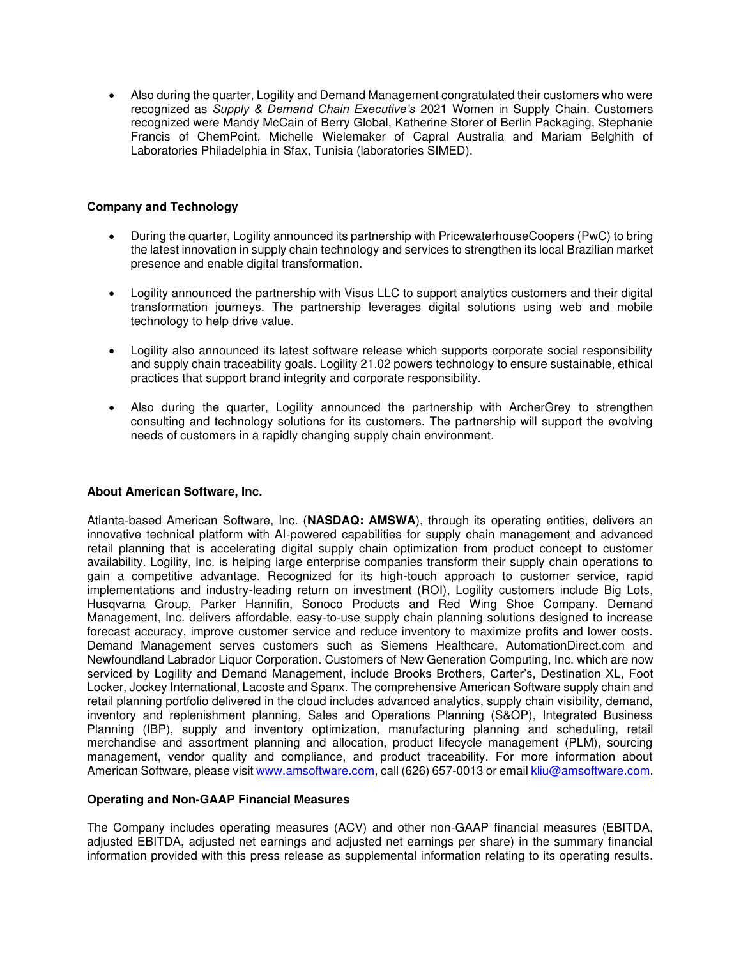• Also during the quarter, Logility and Demand Management congratulated their customers who were recognized as *Supply & Demand Chain Executive's* 2021 Women in Supply Chain. Customers recognized were Mandy McCain of Berry Global, Katherine Storer of Berlin Packaging, Stephanie Francis of ChemPoint, Michelle Wielemaker of Capral Australia and Mariam Belghith of Laboratories Philadelphia in Sfax, Tunisia (laboratories SIMED).

# **Company and Technology**

- During the quarter, Logility announced its partnership with PricewaterhouseCoopers (PwC) to bring the latest innovation in supply chain technology and services to strengthen its local Brazilian market presence and enable digital transformation.
- Logility announced the partnership with Visus LLC to support analytics customers and their digital transformation journeys. The partnership leverages digital solutions using web and mobile technology to help drive value.
- Logility also announced its latest software release which supports corporate social responsibility and supply chain traceability goals. Logility 21.02 powers technology to ensure sustainable, ethical practices that support brand integrity and corporate responsibility.
- Also during the quarter, Logility announced the partnership with ArcherGrey to strengthen consulting and technology solutions for its customers. The partnership will support the evolving needs of customers in a rapidly changing supply chain environment.

#### **About American Software, Inc.**

Atlanta-based American Software, Inc. (**NASDAQ: AMSWA**), through its operating entities, delivers an innovative technical platform with AI-powered capabilities for supply chain management and advanced retail planning that is accelerating digital supply chain optimization from product concept to customer availability. Logility, Inc. is helping large enterprise companies transform their supply chain operations to gain a competitive advantage. Recognized for its high-touch approach to customer service, rapid implementations and industry-leading return on investment (ROI), Logility customers include Big Lots, Husqvarna Group, Parker Hannifin, Sonoco Products and Red Wing Shoe Company. Demand Management, Inc. delivers affordable, easy-to-use supply chain planning solutions designed to increase forecast accuracy, improve customer service and reduce inventory to maximize profits and lower costs. Demand Management serves customers such as Siemens Healthcare, AutomationDirect.com and Newfoundland Labrador Liquor Corporation. Customers of New Generation Computing, Inc. which are now serviced by Logility and Demand Management, include Brooks Brothers, Carter's, Destination XL, Foot Locker, Jockey International, Lacoste and Spanx. The comprehensive American Software supply chain and retail planning portfolio delivered in the cloud includes advanced analytics, supply chain visibility, demand, inventory and replenishment planning, Sales and Operations Planning (S&OP), Integrated Business Planning (IBP), supply and inventory optimization, manufacturing planning and scheduling, retail merchandise and assortment planning and allocation, product lifecycle management (PLM), sourcing management, vendor quality and compliance, and product traceability. For more information about American Software, please visit [www.amsoftware.com,](http://www.amsoftware.com/) call (626) 657-0013 or emai[l kliu@amsoftware.com.](mailto:kliu@amsoftware.com)

#### **Operating and Non-GAAP Financial Measures**

The Company includes operating measures (ACV) and other non-GAAP financial measures (EBITDA, adjusted EBITDA, adjusted net earnings and adjusted net earnings per share) in the summary financial information provided with this press release as supplemental information relating to its operating results.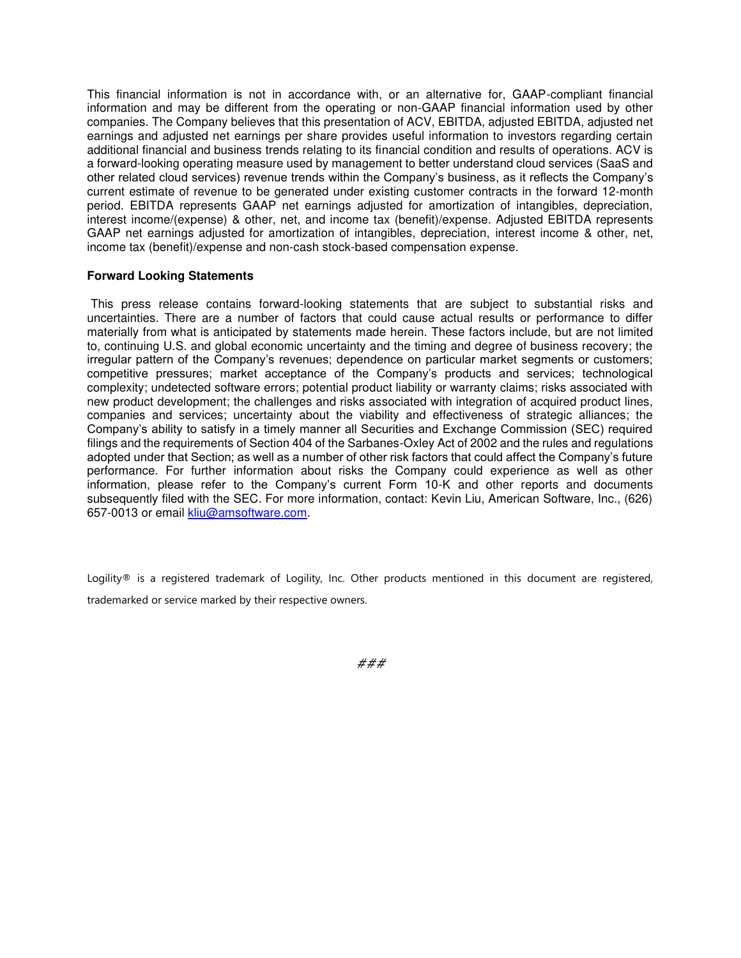This financial information is not in accordance with, or an alternative for, GAAP-compliant financial information and may be different from the operating or non-GAAP financial information used by other companies. The Company believes that this presentation of ACV, EBITDA, adjusted EBITDA, adjusted net earnings and adjusted net earnings per share provides useful information to investors regarding certain additional financial and business trends relating to its financial condition and results of operations. ACV is a forward-looking operating measure used by management to better understand cloud services (SaaS and other related cloud services) revenue trends within the Company's business, as it reflects the Company's current estimate of revenue to be generated under existing customer contracts in the forward 12-month period. EBITDA represents GAAP net earnings adjusted for amortization of intangibles, depreciation, interest income/(expense) & other, net, and income tax (benefit)/expense. Adjusted EBITDA represents GAAP net earnings adjusted for amortization of intangibles, depreciation, interest income & other, net, income tax (benefit)/expense and non-cash stock-based compensation expense.

## **Forward Looking Statements**

This press release contains forward-looking statements that are subject to substantial risks and uncertainties. There are a number of factors that could cause actual results or performance to differ materially from what is anticipated by statements made herein. These factors include, but are not limited to, continuing U.S. and global economic uncertainty and the timing and degree of business recovery; the irregular pattern of the Company's revenues; dependence on particular market segments or customers; competitive pressures; market acceptance of the Company's products and services; technological complexity; undetected software errors; potential product liability or warranty claims; risks associated with new product development; the challenges and risks associated with integration of acquired product lines, companies and services; uncertainty about the viability and effectiveness of strategic alliances; the Company's ability to satisfy in a timely manner all Securities and Exchange Commission (SEC) required filings and the requirements of Section 404 of the Sarbanes-Oxley Act of 2002 and the rules and regulations adopted under that Section; as well as a number of other risk factors that could affect the Company's future performance. For further information about risks the Company could experience as well as other information, please refer to the Company's current Form 10-K and other reports and documents subsequently filed with the SEC. For more information, contact: Kevin Liu, American Software, Inc., (626) 657-0013 or email [kliu@amsoftware.com.](mailto:kliu@amsoftware.com)

Logility® is a registered trademark of Logility, Inc. Other products mentioned in this document are registered, trademarked or service marked by their respective owners.

###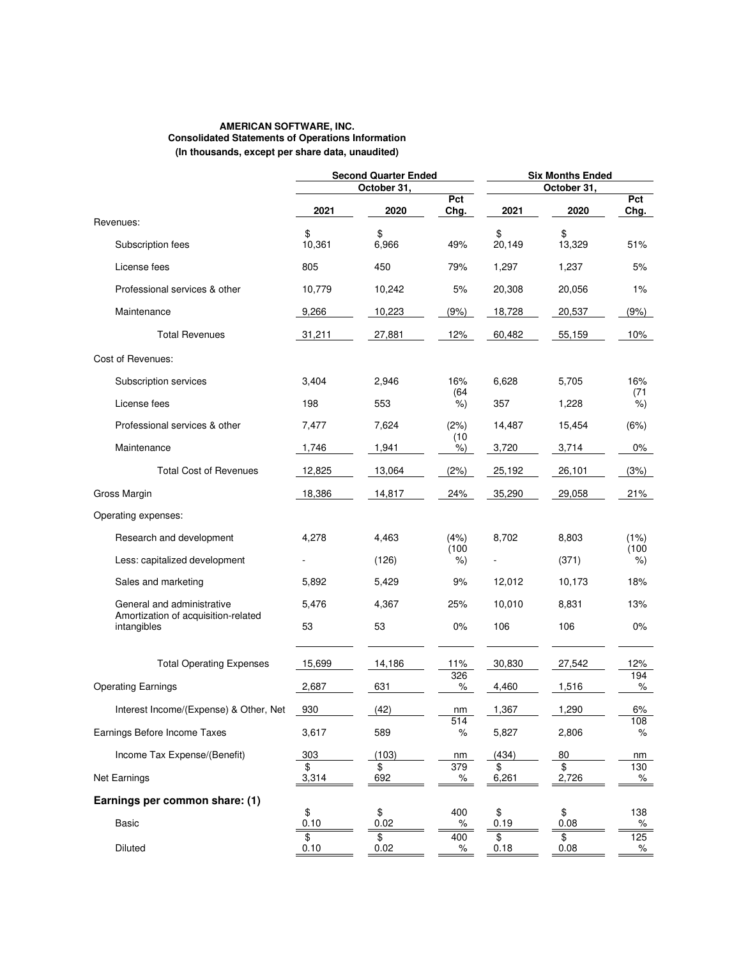#### **AMERICAN SOFTWARE, INC. Consolidated Statements of Operations Information (In thousands, except per share data, unaudited)**

|                                                    |              | <b>Second Quarter Ended</b><br>October 31, |                          | <b>Six Months Ended</b><br>October 31, |              |               |
|----------------------------------------------------|--------------|--------------------------------------------|--------------------------|----------------------------------------|--------------|---------------|
|                                                    |              |                                            | Pct                      |                                        |              | Pct           |
| Revenues:                                          | 2021         | 2020                                       | Chg.                     | 2021                                   | 2020         | Chg.          |
| Subscription fees                                  | \$<br>10,361 | \$<br>6,966                                | 49%                      | \$<br>20,149                           | \$<br>13,329 | 51%           |
| License fees                                       | 805          | 450                                        | 79%                      | 1,297                                  | 1,237        | 5%            |
| Professional services & other                      | 10,779       | 10,242                                     | 5%                       | 20,308                                 | 20,056       | 1%            |
| Maintenance                                        | 9,266        | 10,223                                     | (9%)                     | 18,728                                 | 20,537       | (9%)          |
| <b>Total Revenues</b>                              | 31,211       | 27,881                                     | 12%                      | 60,482                                 | 55,159       | 10%           |
| Cost of Revenues:                                  |              |                                            |                          |                                        |              |               |
| Subscription services                              | 3,404        | 2,946                                      | 16%<br>(64               | 6,628                                  | 5,705        | 16%<br>(71)   |
| License fees                                       | 198          | 553                                        | %                        | 357                                    | 1,228        | %             |
| Professional services & other                      | 7,477        | 7,624                                      | (2%)<br>(10)             | 14,487                                 | 15,454       | (6%)          |
| Maintenance                                        | 1,746        | 1,941                                      | $\frac{1}{2}$            | 3,720                                  | 3,714        | $0\%$         |
| <b>Total Cost of Revenues</b>                      | 12,825       | 13,064                                     | (2%)                     | 25,192                                 | 26,101       | (3%)          |
| Gross Margin                                       | 18,386       | 14,817                                     | 24%                      | 35,290                                 | 29,058       | 21%           |
| Operating expenses:                                |              |                                            |                          |                                        |              |               |
| Research and development                           | 4,278        | 4,463                                      | (4% )<br>(100)           | 8,702                                  | 8,803        | (1%)<br>(100) |
| Less: capitalized development                      |              | (126)                                      | %                        |                                        | (371)        | %)            |
| Sales and marketing                                | 5,892        | 5,429                                      | 9%                       | 12,012                                 | 10,173       | 18%           |
| General and administrative                         | 5,476        | 4,367                                      | 25%                      | 10,010                                 | 8,831        | 13%           |
| Amortization of acquisition-related<br>intangibles | 53           | 53                                         | $0\%$                    | 106                                    | 106          | 0%            |
| <b>Total Operating Expenses</b>                    | 15,699       | 14,186                                     | 11%                      | 30,830                                 | 27,542       | 12%           |
| <b>Operating Earnings</b>                          | 2,687        | 631                                        | 326<br>℅                 | 4,460                                  | 1,516        | 194<br>%      |
| Interest Income/(Expense) & Other, Net             | 930          | (42)                                       | nm                       | 1.367                                  | 1.290        | 6%            |
| Earnings Before Income Taxes                       | 3,617        | 589                                        | $\overline{514}$<br>$\%$ | 5,827                                  | 2,806        | 108<br>$\%$   |
| Income Tax Expense/(Benefit)                       | 303          | (103)                                      | nm                       | (434)                                  | 80           | nm            |
| Net Earnings                                       | \$<br>3,314  | \$<br>692                                  | 379<br>$\%$              | \$<br>6,261                            | \$<br>2,726  | 130<br>%      |
| Earnings per common share: (1)                     |              |                                            |                          |                                        |              |               |
| Basic                                              | \$<br>0.10   | \$<br>0.02                                 | 400<br>$\%$              | \$<br>0.19                             | \$<br>0.08   | 138<br>$\%$   |
| Diluted                                            | \$<br>0.10   | \$<br>0.02                                 | 400<br>%                 | \$<br>0.18                             | \$<br>0.08   | 125<br>%      |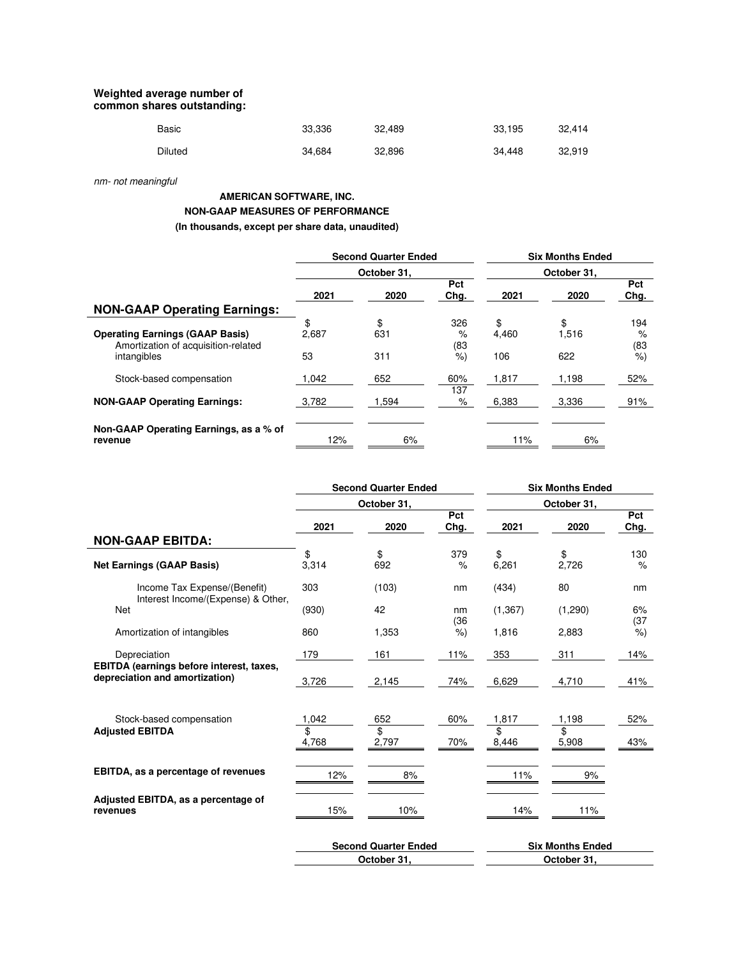#### **Weighted average number of common shares outstanding:**

| Basic   | 33.336 | 32.489 | 33.195 | 32.414 |
|---------|--------|--------|--------|--------|
| Diluted | 34.684 | 32.896 | 34.448 | 32,919 |

nm- not meaningful

## **AMERICAN SOFTWARE, INC. NON-GAAP MEASURES OF PERFORMANCE (In thousands, except per share data, unaudited)**

|                                                                               | <b>Second Quarter Ended</b><br>October 31. |           | <b>Six Months Ended</b><br>October 31. |             |             |                  |
|-------------------------------------------------------------------------------|--------------------------------------------|-----------|----------------------------------------|-------------|-------------|------------------|
|                                                                               |                                            |           |                                        |             |             |                  |
|                                                                               | 2021                                       | 2020      | Pct<br>Chg.                            | 2021        | 2020        | Pct<br>Chg.      |
| <b>NON-GAAP Operating Earnings:</b>                                           |                                            |           |                                        |             |             |                  |
| <b>Operating Earnings (GAAP Basis)</b><br>Amortization of acquisition-related | \$<br>2,687                                | \$<br>631 | 326<br>%<br>(83                        | \$<br>4.460 | \$<br>1.516 | 194<br>%<br>(83) |
| intangibles                                                                   | 53                                         | 311       | %                                      | 106         | 622         | %                |
| Stock-based compensation                                                      | 1.042                                      | 652       | 60%<br>137                             | 1,817       | 1,198       | 52%              |
| <b>NON-GAAP Operating Earnings:</b>                                           | 3,782                                      | 1,594     | %                                      | 6,383       | 3,336       | 91%              |
| Non-GAAP Operating Earnings, as a % of<br>revenue                             | 12%                                        | 6%        |                                        | 11%         | 6%          |                  |

|                                                                    | <b>Second Quarter Ended</b><br>October 31, |                             | <b>Six Months Ended</b> |             |                         |             |
|--------------------------------------------------------------------|--------------------------------------------|-----------------------------|-------------------------|-------------|-------------------------|-------------|
|                                                                    |                                            |                             |                         | October 31, |                         |             |
|                                                                    | 2021                                       | 2020                        | Pct<br>Chg.             | 2021        | 2020                    | Pct<br>Chg. |
| <b>NON-GAAP EBITDA:</b>                                            |                                            |                             |                         |             |                         |             |
| <b>Net Earnings (GAAP Basis)</b>                                   | \$<br>3,314                                | \$<br>692                   | 379<br>$\%$             | \$<br>6,261 | \$<br>2,726             | 130<br>$\%$ |
| Income Tax Expense/(Benefit)<br>Interest Income/(Expense) & Other, | 303                                        | (103)                       | nm                      | (434)       | 80                      | nm          |
| Net                                                                | (930)                                      | 42                          | nm<br>(36)              | (1, 367)    | (1,290)                 | 6%<br>(37)  |
| Amortization of intangibles                                        | 860                                        | 1,353                       | %)                      | 1,816       | 2,883                   | %           |
| Depreciation<br>EBITDA (earnings before interest, taxes,           | 179                                        | 161                         | 11%                     | 353         | 311                     | 14%         |
| depreciation and amortization)                                     | 3,726                                      | 2,145                       | 74%                     | 6,629       | 4,710                   | 41%         |
| Stock-based compensation                                           | 1,042                                      | 652                         | 60%                     | 1,817       | 1,198                   | 52%         |
| <b>Adjusted EBITDA</b>                                             | \$<br>4,768                                | \$<br>2,797                 | 70%                     | \$<br>8,446 | \$<br>5,908             | 43%         |
| EBITDA, as a percentage of revenues                                | 12%                                        | 8%                          |                         | 11%         | 9%                      |             |
| Adjusted EBITDA, as a percentage of<br>revenues                    | 15%                                        | 10%                         |                         | 14%         | 11%                     |             |
|                                                                    |                                            | <b>Second Quarter Ended</b> |                         |             | <b>Six Months Ended</b> |             |
|                                                                    |                                            | October 31,                 |                         |             | October 31,             |             |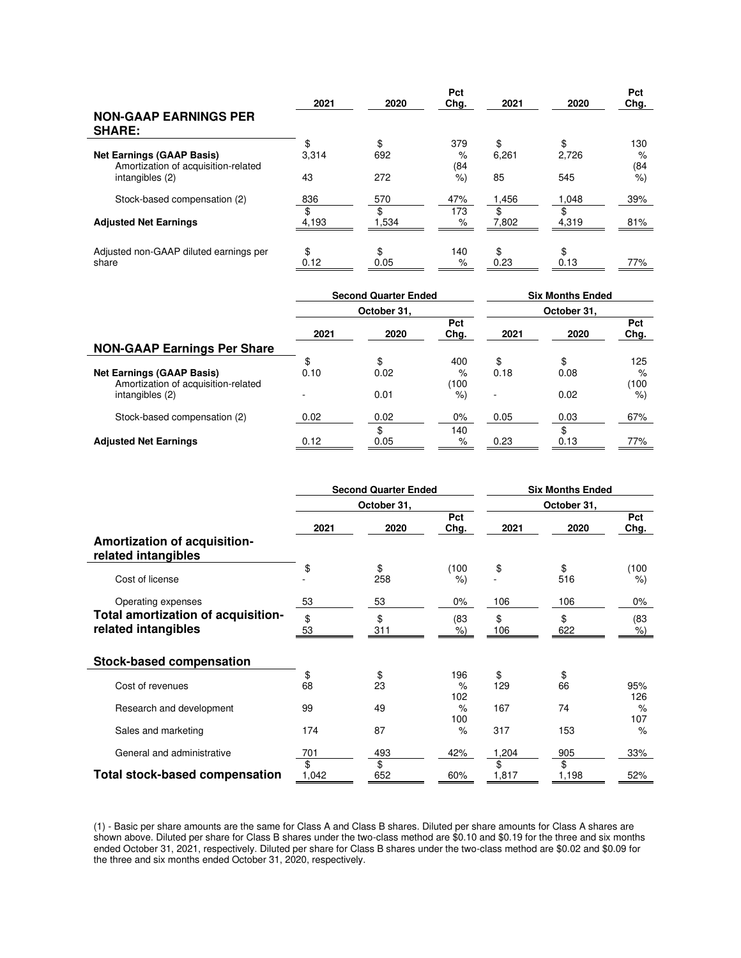|                                                                         |            |            | Pct        |             |             | Pct      |
|-------------------------------------------------------------------------|------------|------------|------------|-------------|-------------|----------|
|                                                                         | 2021       | 2020       | Chg.       | 2021        | 2020        | Chg.     |
| <b>NON-GAAP EARNINGS PER</b><br><b>SHARE:</b>                           |            |            |            |             |             |          |
|                                                                         | æ          | \$         | 379        | \$          | \$          | 130      |
| <b>Net Earnings (GAAP Basis)</b><br>Amortization of acquisition-related | 3.314      | 692        | %<br>(84   | 6.261       | 2.726       | %<br>(84 |
| intangibles (2)                                                         | 43         | 272        | %          | 85          | 545         | %        |
| Stock-based compensation (2)                                            | 836<br>\$  | 570<br>\$  | 47%<br>173 | 1,456<br>\$ | 1.048<br>\$ | 39%      |
| <b>Adjusted Net Earnings</b>                                            | 4,193      | .534       | %          | 7,802       | 4.319       | 81%      |
| Adjusted non-GAAP diluted earnings per<br>share                         | \$<br>0.12 | \$<br>0.05 | 140<br>%   | \$<br>0.23  | \$<br>0.13  | 77%      |

|                                                                         | <b>Second Quarter Ended</b><br>October 31. |            | <b>Six Months Ended</b><br>October 31. |      |      |             |
|-------------------------------------------------------------------------|--------------------------------------------|------------|----------------------------------------|------|------|-------------|
|                                                                         |                                            |            |                                        |      |      |             |
|                                                                         | 2021                                       | 2020       | Pct<br>Chg.                            | 2021 | 2020 | Pct<br>Chg. |
| <b>NON-GAAP Earnings Per Share</b>                                      |                                            |            |                                        |      |      |             |
|                                                                         | \$                                         | \$         | 400                                    | \$   | \$   | 125         |
| <b>Net Earnings (GAAP Basis)</b><br>Amortization of acquisition-related | 0.10                                       | 0.02       | %<br>(100)                             | 0.18 | 0.08 | %<br>(100)  |
| intangibles (2)                                                         |                                            | 0.01       | %                                      |      | 0.02 | %)          |
| Stock-based compensation (2)                                            | 0.02                                       | 0.02       | 0%                                     | 0.05 | 0.03 | 67%         |
| <b>Adjusted Net Earnings</b>                                            | 0.12                                       | \$<br>0.05 | 140<br>%                               | 0.23 | 0.13 | 77%         |

|                                                            | <b>Second Quarter Ended</b> |                 | <b>Six Months Ended</b>          |             |             |                    |
|------------------------------------------------------------|-----------------------------|-----------------|----------------------------------|-------------|-------------|--------------------|
|                                                            |                             | October 31,     |                                  | October 31, |             |                    |
|                                                            | 2021                        | 2020            | Pct<br>Chg.                      | 2021        | 2020        | <b>Pct</b><br>Chg. |
| <b>Amortization of acquisition-</b><br>related intangibles |                             |                 |                                  |             |             |                    |
| Cost of license                                            | \$                          | \$<br>258       | (100)<br>%)                      | \$          | \$<br>516   | (100)<br>%)        |
| Operating expenses                                         | 53                          | 53              | $0\%$                            | 106         | 106         | 0%                 |
| Total amortization of acquisition-<br>related intangibles  | \$<br>53                    | \$<br>311       | (83)<br>%)                       | \$<br>106   | \$<br>622   | (83)<br>%)         |
| <b>Stock-based compensation</b>                            |                             |                 |                                  |             |             |                    |
| Cost of revenues                                           | \$<br>68                    | $\frac{\$}{23}$ | 196<br>$\frac{1}{\alpha}$<br>102 | \$<br>129   | \$<br>66    | 95%<br>126         |
| Research and development                                   | 99                          | 49              | $\%$<br>100                      | 167         | 74          | $\%$<br>107        |
| Sales and marketing                                        | 174                         | 87              | $\%$                             | 317         | 153         | $\%$               |
| General and administrative                                 | 701                         | 493             | 42%                              | 1,204       | 905         | 33%                |
| <b>Total stock-based compensation</b>                      | \$<br>042                   | \$<br>652       | 60%                              | \$<br>1,817 | \$<br>1,198 | 52%                |

(1) - Basic per share amounts are the same for Class A and Class B shares. Diluted per share amounts for Class A shares are shown above. Diluted per share for Class B shares under the two-class method are \$0.10 and \$0.19 for the three and six months ended October 31, 2021, respectively. Diluted per share for Class B shares under the two-class method are \$0.02 and \$0.09 for the three and six months ended October 31, 2020, respectively.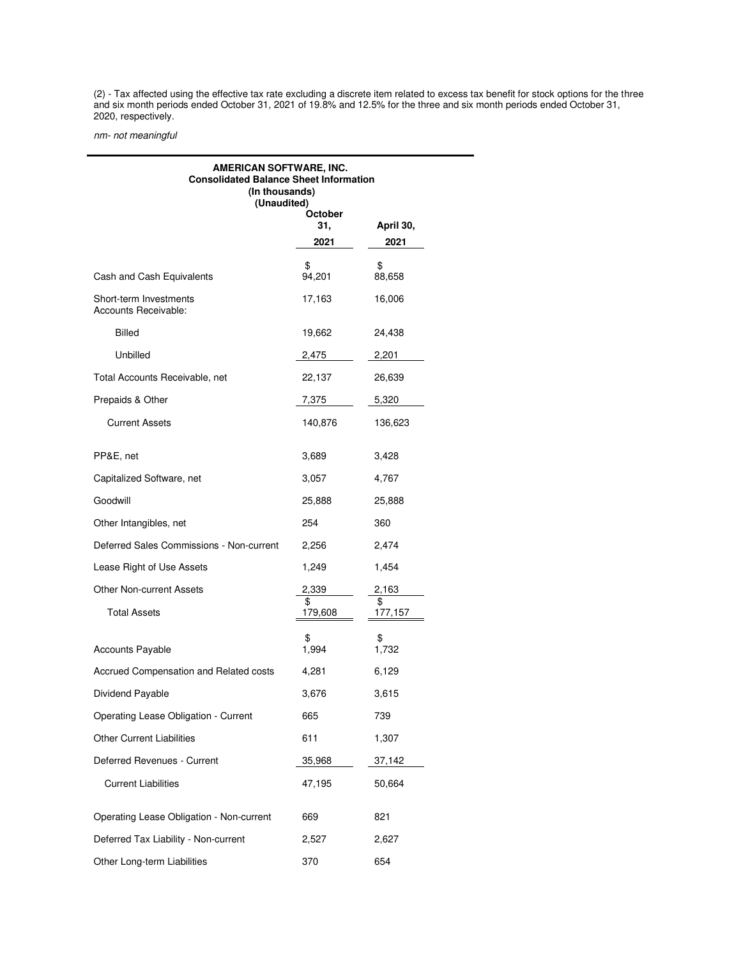(2) - Tax affected using the effective tax rate excluding a discrete item related to excess tax benefit for stock options for the three and six month periods ended October 31, 2021 of 19.8% and 12.5% for the three and six month periods ended October 31, 2020, respectively.

nm- not meaningful

| AMERICAN SOFTWARE, INC.<br><b>Consolidated Balance Sheet Information</b><br>(In thousands)<br>(Unaudited) |                |              |  |  |  |
|-----------------------------------------------------------------------------------------------------------|----------------|--------------|--|--|--|
|                                                                                                           | October<br>31, | April 30,    |  |  |  |
|                                                                                                           | 2021           | 2021         |  |  |  |
| Cash and Cash Equivalents                                                                                 | \$<br>94,201   | \$<br>88,658 |  |  |  |
| Short-term Investments<br>Accounts Receivable:                                                            | 17,163         | 16,006       |  |  |  |
| <b>Billed</b>                                                                                             | 19,662         | 24,438       |  |  |  |
| Unbilled                                                                                                  | 2,475          | 2,201        |  |  |  |
| Total Accounts Receivable, net                                                                            | 22,137         | 26,639       |  |  |  |
| Prepaids & Other                                                                                          | 7,375          | 5,320        |  |  |  |
| <b>Current Assets</b>                                                                                     | 140,876        | 136,623      |  |  |  |
| PP&E, net                                                                                                 | 3,689          | 3,428        |  |  |  |
| Capitalized Software, net                                                                                 | 3,057          | 4,767        |  |  |  |
| Goodwill                                                                                                  | 25,888         | 25,888       |  |  |  |
| Other Intangibles, net                                                                                    | 254            | 360          |  |  |  |
| Deferred Sales Commissions - Non-current                                                                  | 2,256          | 2,474        |  |  |  |
| Lease Right of Use Assets                                                                                 | 1,249          | 1,454        |  |  |  |
| <b>Other Non-current Assets</b>                                                                           | 2,339          | 2,163        |  |  |  |
| <b>Total Assets</b>                                                                                       | 179,608        | 177,157      |  |  |  |
| <b>Accounts Payable</b>                                                                                   | \$<br>1.994    | \$<br>1,732  |  |  |  |
| Accrued Compensation and Related costs                                                                    | 4,281          | 6,129        |  |  |  |
| Dividend Payable                                                                                          | 3,676          | 3,615        |  |  |  |
| Operating Lease Obligation - Current                                                                      | 665            | 739          |  |  |  |
| <b>Other Current Liabilities</b>                                                                          | 611            | 1,307        |  |  |  |
| Deferred Revenues - Current                                                                               | 35,968         | 37,142       |  |  |  |
| <b>Current Liabilities</b>                                                                                | 47,195         | 50,664       |  |  |  |
| Operating Lease Obligation - Non-current                                                                  | 669            | 821          |  |  |  |
| Deferred Tax Liability - Non-current                                                                      | 2,527          | 2,627        |  |  |  |
| Other Long-term Liabilities                                                                               | 370            | 654          |  |  |  |